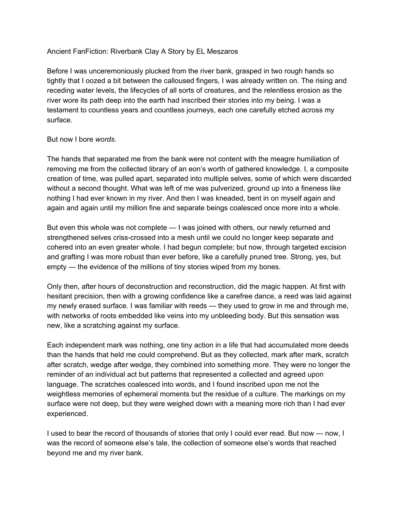## Ancient FanFiction: Riverbank Clay A Story by EL Meszaros

Before I was unceremoniously plucked from the river bank, grasped in two rough hands so tightly that I oozed a bit between the calloused fingers, I was already written on. The rising and receding water levels, the lifecycles of all sorts of creatures, and the relentless erosion as the river wore its path deep into the earth had inscribed their stories into my being. I was a testament to countless years and countless journeys, each one carefully etched across my surface.

## But now I bore *words*.

The hands that separated me from the bank were not content with the meagre humiliation of removing me from the collected library of an eon's worth of gathered knowledge. I, a composite creation of time, was pulled apart, separated into multiple selves, some of which were discarded without a second thought. What was left of me was pulverized, ground up into a fineness like nothing I had ever known in my river. And then I was kneaded, bent in on myself again and again and again until my million fine and separate beings coalesced once more into a whole.

But even this whole was not complete — I was joined with others, our newly returned and strengthened selves criss-crossed into a mesh until we could no longer keep separate and cohered into an even greater whole. I had begun complete; but now, through targeted excision and grafting I was more robust than ever before, like a carefully pruned tree. Strong, yes, but empty — the evidence of the millions of tiny stories wiped from my bones.

Only then, after hours of deconstruction and reconstruction, did the magic happen. At first with hesitant precision, then with a growing confidence like a carefree dance, a reed was laid against my newly erased surface. I was familiar with reeds — they used to grow in me and through me, with networks of roots embedded like veins into my unbleeding body. But this sensation was new, like a scratching against my surface.

Each independent mark was nothing, one tiny action in a life that had accumulated more deeds than the hands that held me could comprehend. But as they collected, mark after mark, scratch after scratch, wedge after wedge, they combined into something *more*. They were no longer the reminder of an individual act but patterns that represented a collected and agreed upon language. The scratches coalesced into words, and I found inscribed upon me not the weightless memories of ephemeral moments but the residue of a culture. The markings on my surface were not deep, but they were weighed down with a meaning more rich than I had ever experienced.

I used to bear the record of thousands of stories that only I could ever read. But now — now, I was the record of someone else's tale, the collection of someone else's words that reached beyond me and my river bank.